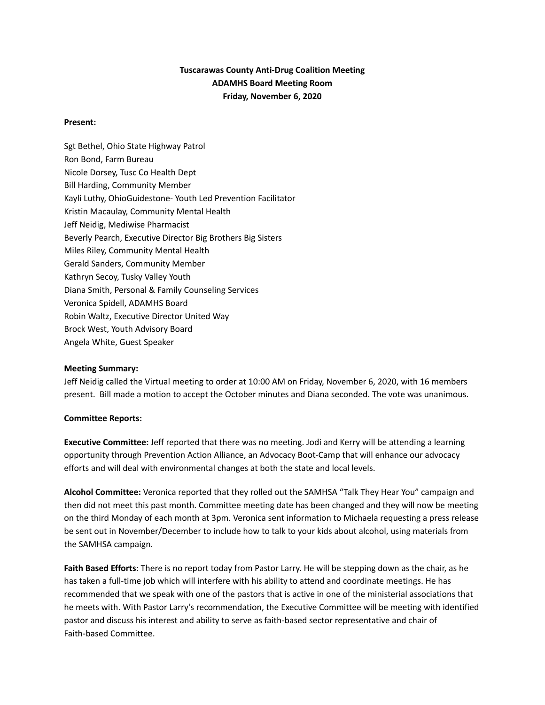# **Tuscarawas County Anti-Drug Coalition Meeting ADAMHS Board Meeting Room Friday, November 6, 2020**

### **Present:**

Sgt Bethel, Ohio State Highway Patrol Ron Bond, Farm Bureau Nicole Dorsey, Tusc Co Health Dept Bill Harding, Community Member Kayli Luthy, OhioGuidestone- Youth Led Prevention Facilitator Kristin Macaulay, Community Mental Health Jeff Neidig, Mediwise Pharmacist Beverly Pearch, Executive Director Big Brothers Big Sisters Miles Riley, Community Mental Health Gerald Sanders, Community Member Kathryn Secoy, Tusky Valley Youth Diana Smith, Personal & Family Counseling Services Veronica Spidell, ADAMHS Board Robin Waltz, Executive Director United Way Brock West, Youth Advisory Board Angela White, Guest Speaker

#### **Meeting Summary:**

Jeff Neidig called the Virtual meeting to order at 10:00 AM on Friday, November 6, 2020, with 16 members present. Bill made a motion to accept the October minutes and Diana seconded. The vote was unanimous.

#### **Committee Reports:**

**Executive Committee:** Jeff reported that there was no meeting. Jodi and Kerry will be attending a learning opportunity through Prevention Action Alliance, an Advocacy Boot-Camp that will enhance our advocacy efforts and will deal with environmental changes at both the state and local levels.

**Alcohol Committee:** Veronica reported that they rolled out the SAMHSA "Talk They Hear You" campaign and then did not meet this past month. Committee meeting date has been changed and they will now be meeting on the third Monday of each month at 3pm. Veronica sent information to Michaela requesting a press release be sent out in November/December to include how to talk to your kids about alcohol, using materials from the SAMHSA campaign.

**Faith Based Efforts**: There is no report today from Pastor Larry. He will be stepping down as the chair, as he has taken a full-time job which will interfere with his ability to attend and coordinate meetings. He has recommended that we speak with one of the pastors that is active in one of the ministerial associations that he meets with. With Pastor Larry's recommendation, the Executive Committee will be meeting with identified pastor and discuss his interest and ability to serve as faith-based sector representative and chair of Faith-based Committee.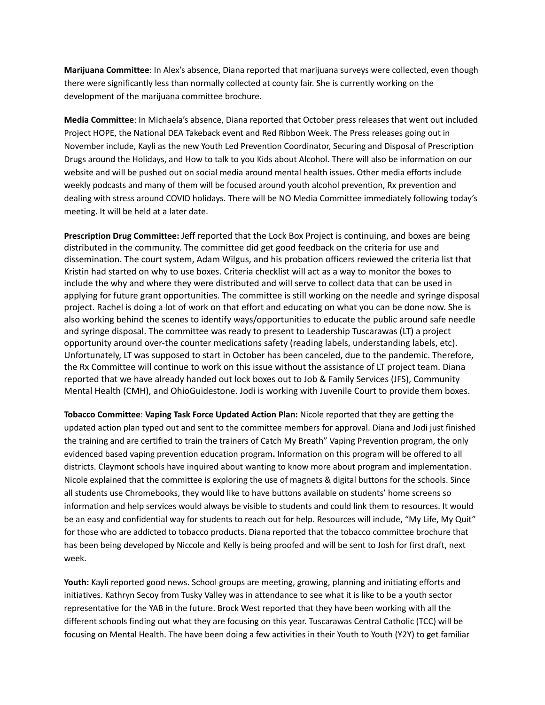**Marijuana Committee**: In Alex's absence, Diana reported that marijuana surveys were collected, even though there were significantly less than normally collected at county fair. She is currently working on the development of the marijuana committee brochure.

**Media Committee**: In Michaela's absence, Diana reported that October press releases that went out included Project HOPE, the National DEA Takeback event and Red Ribbon Week. The Press releases going out in November include, Kayli as the new Youth Led Prevention Coordinator, Securing and Disposal of Prescription Drugs around the Holidays, and How to talk to you Kids about Alcohol. There will also be information on our website and will be pushed out on social media around mental health issues. Other media efforts include weekly podcasts and many of them will be focused around youth alcohol prevention, Rx prevention and dealing with stress around COVID holidays. There will be NO Media Committee immediately following today's meeting. It will be held at a later date.

**Prescription Drug Committee:** Jeff reported that the Lock Box Project is continuing, and boxes are being distributed in the community. The committee did get good feedback on the criteria for use and dissemination. The court system, Adam Wilgus, and his probation officers reviewed the criteria list that Kristin had started on why to use boxes. Criteria checklist will act as a way to monitor the boxes to include the why and where they were distributed and will serve to collect data that can be used in applying for future grant opportunities. The committee is still working on the needle and syringe disposal project. Rachel is doing a lot of work on that effort and educating on what you can be done now. She is also working behind the scenes to identify ways/opportunities to educate the public around safe needle and syringe disposal. The committee was ready to present to Leadership Tuscarawas (LT) a project opportunity around over-the counter medications safety (reading labels, understanding labels, etc). Unfortunately, LT was supposed to start in October has been canceled, due to the pandemic. Therefore, the Rx Committee will continue to work on this issue without the assistance of LT project team. Diana reported that we have already handed out lock boxes out to Job & Family Services (JFS), Community Mental Health (CMH), and OhioGuidestone. Jodi is working with Juvenile Court to provide them boxes.

**Tobacco Committee**: **Vaping Task Force Updated Action Plan:** Nicole reported that they are getting the updated action plan typed out and sent to the committee members for approval. Diana and Jodi just finished the training and are certified to train the trainers of Catch My Breath" Vaping Prevention program, the only evidenced based vaping prevention education program**.** Information on this program will be offered to all districts. Claymont schools have inquired about wanting to know more about program and implementation. Nicole explained that the committee is exploring the use of magnets & digital buttons for the schools. Since all students use Chromebooks, they would like to have buttons available on students' home screens so information and help services would always be visible to students and could link them to resources. It would be an easy and confidential way for students to reach out for help. Resources will include, "My Life, My Quit" for those who are addicted to tobacco products. Diana reported that the tobacco committee brochure that has been being developed by Niccole and Kelly is being proofed and will be sent to Josh for first draft, next week.

**Youth:** Kayli reported good news. School groups are meeting, growing, planning and initiating efforts and initiatives. Kathryn Secoy from Tusky Valley was in attendance to see what it is like to be a youth sector representative for the YAB in the future. Brock West reported that they have been working with all the different schools finding out what they are focusing on this year. Tuscarawas Central Catholic (TCC) will be focusing on Mental Health. The have been doing a few activities in their Youth to Youth (Y2Y) to get familiar